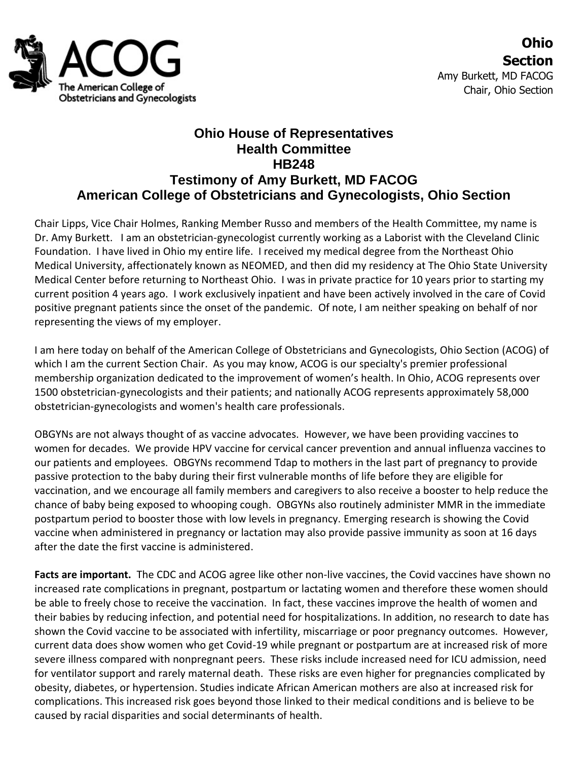

## **Ohio House of Representatives Health Committee HB248 Testimony of Amy Burkett, MD FACOG American College of Obstetricians and Gynecologists, Ohio Section**

Chair Lipps, Vice Chair Holmes, Ranking Member Russo and members of the Health Committee, my name is Dr. Amy Burkett. I am an obstetrician-gynecologist currently working as a Laborist with the Cleveland Clinic Foundation. I have lived in Ohio my entire life. I received my medical degree from the Northeast Ohio Medical University, affectionately known as NEOMED, and then did my residency at The Ohio State University Medical Center before returning to Northeast Ohio. I was in private practice for 10 years prior to starting my current position 4 years ago. I work exclusively inpatient and have been actively involved in the care of Covid positive pregnant patients since the onset of the pandemic. Of note, I am neither speaking on behalf of nor representing the views of my employer.

I am here today on behalf of the American College of Obstetricians and Gynecologists, Ohio Section (ACOG) of which I am the current Section Chair. As you may know, ACOG is our specialty's premier professional membership organization dedicated to the improvement of women's health. In Ohio, ACOG represents over 1500 obstetrician-gynecologists and their patients; and nationally ACOG represents approximately 58,000 obstetrician-gynecologists and women's health care professionals.

OBGYNs are not always thought of as vaccine advocates. However, we have been providing vaccines to women for decades. We provide HPV vaccine for cervical cancer prevention and annual influenza vaccines to our patients and employees. OBGYNs recommend Tdap to mothers in the last part of pregnancy to provide passive protection to the baby during their first vulnerable months of life before they are eligible for vaccination, and we encourage all family members and caregivers to also receive a booster to help reduce the chance of baby being exposed to whooping cough. OBGYNs also routinely administer MMR in the immediate postpartum period to booster those with low levels in pregnancy. Emerging research is showing the Covid vaccine when administered in pregnancy or lactation may also provide passive immunity as soon at 16 days after the date the first vaccine is administered.

**Facts are important.** The CDC and ACOG agree like other non-live vaccines, the Covid vaccines have shown no increased rate complications in pregnant, postpartum or lactating women and therefore these women should be able to freely chose to receive the vaccination. In fact, these vaccines improve the health of women and their babies by reducing infection, and potential need for hospitalizations. In addition, no research to date has shown the Covid vaccine to be associated with infertility, miscarriage or poor pregnancy outcomes. However, current data does show women who get Covid-19 while pregnant or postpartum are at increased risk of more severe illness compared with nonpregnant peers. These risks include increased need for ICU admission, need for ventilator support and rarely maternal death. These risks are even higher for pregnancies complicated by obesity, diabetes, or hypertension. Studies indicate African American mothers are also at increased risk for complications. This increased risk goes beyond those linked to their medical conditions and is believe to be caused by racial disparities and social determinants of health.